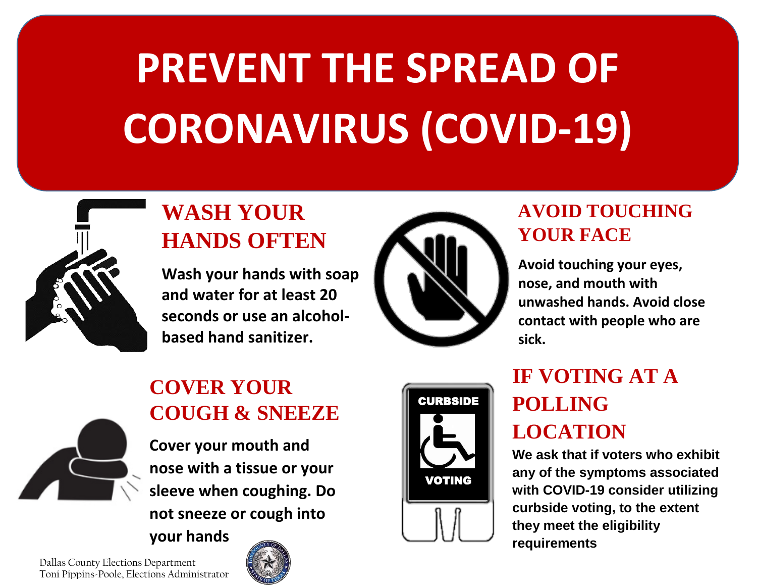# **PREVENT THE SPREAD OF CORONAVIRUS (COVID-19)**



## **WASH YOUR HANDS OFTEN**

**Wash your hands with soap and water for at least 20 seconds or use an alcoholbased hand sanitizer.**



#### **AVOID TOUCHING YOUR FACE**

**Avoid touching your eyes, nose, and mouth with unwashed hands. Avoid close contact with people who are sick.** 



### **COVER YOUR COUGH & SNEEZE**

**Cover your mouth and nose with a tissue or your sleeve when coughing. Do not sneeze or cough into** 

**your hands**



# **IF VOTING AT A POLLING LOCATION**

**We ask that if voters who exhibit any of the symptoms associated with COVID-19 consider utilizing curbside voting, to the extent they meet the eligibility requirements**

Dallas County Elections Department Toni Pippins-Poole, Elections Administrator